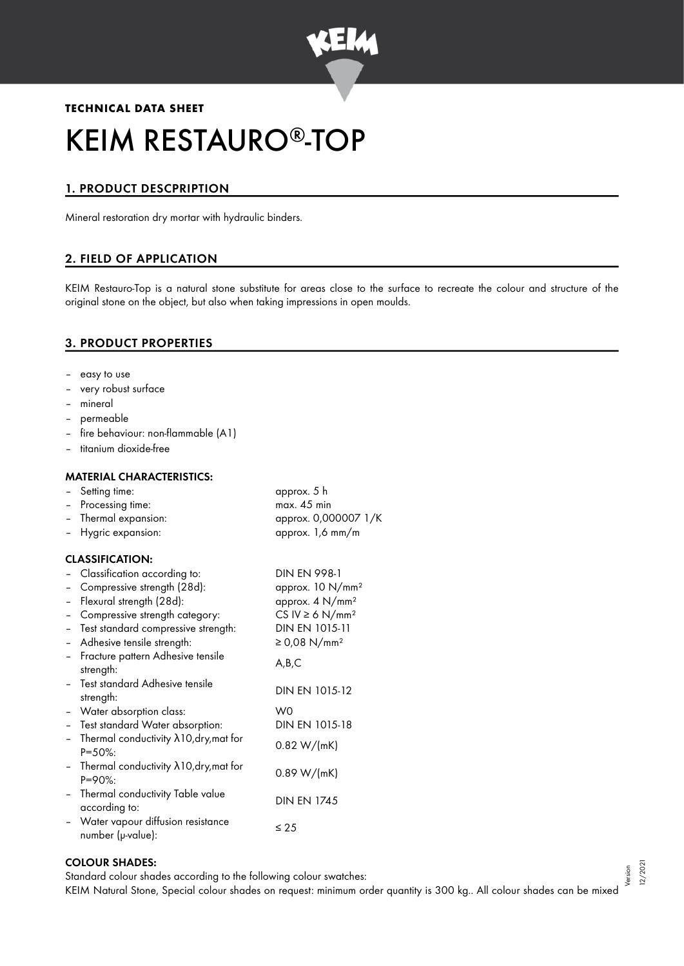

# **TECHNICAL DATA SHEET** KEIM RESTAURO®-TOP

# 1. PRODUCT DESCPRIPTION

Mineral restoration dry mortar with hydraulic binders.

## 2. FIELD OF APPLICATION

KEIM Restauro-Top is a natural stone substitute for areas close to the surface to recreate the colour and structure of the original stone on the object, but also when taking impressions in open moulds.

## 3. PRODUCT PROPERTIES

- easy to use
- very robust surface
- mineral
- permeable
- fire behaviour: non-flammable (A1)
- titanium dioxide-free

#### MATERIAL CHARACTERISTICS:

| $\overline{\phantom{0}}$ | Setting time:                                                   | approx. 5 h                      |
|--------------------------|-----------------------------------------------------------------|----------------------------------|
| $\overline{\phantom{0}}$ | Processing time:                                                | max. 45 min                      |
| $\qquad \qquad -$        | Thermal expansion:                                              | approx. 0,000007 1/K             |
| Ξ.                       | Hygric expansion:                                               | approx. 1,6 mm/m                 |
|                          | <b>CLASSIFICATION:</b>                                          |                                  |
|                          | Classification according to:                                    | <b>DIN EN 998-1</b>              |
| $\overline{\phantom{0}}$ | Compressive strength (28d):                                     | approx. 10 N/mm <sup>2</sup>     |
| $\overline{\phantom{0}}$ | Flexural strength (28d):                                        | approx. 4 N/mm <sup>2</sup>      |
| $\overline{\phantom{0}}$ | Compressive strength category:                                  | CS IV $\geq 6$ N/mm <sup>2</sup> |
| $\overline{\phantom{0}}$ | Test standard compressive strength:                             | DIN EN 1015-11                   |
| $\overline{\phantom{0}}$ | Adhesive tensile strength:                                      | ≥ 0,08 N/mm <sup>2</sup>         |
| $\overline{\phantom{0}}$ | Fracture pattern Adhesive tensile<br>strength:                  | A,B,C                            |
|                          | Test standard Adhesive tensile<br>strength:                     | DIN EN 1015-12                   |
| $\overline{\phantom{0}}$ | Water absorption class:                                         | W0                               |
| $\overline{\phantom{0}}$ | Test standard Water absorption:                                 | DIN EN 1015-18                   |
| $\overline{\phantom{0}}$ | Thermal conductivity $\lambda$ 10, dry, mat for<br>$P = 50\%$ : | 0.82 W/(mK)                      |
| $\qquad \qquad -$        | Thermal conductivity $\lambda$ 10, dry, mat for<br>$P = 90\%$ : | 0.89 W/(mK)                      |
| $\overline{\phantom{0}}$ | Thermal conductivity Table value<br>according to:               | <b>DIN EN 1745</b>               |
| $\overline{\phantom{0}}$ | Water vapour diffusion resistance<br>number (µ-value):          | $\leq 25$                        |

#### COLOUR SHADES:

Standard colour shades according to the following colour swatches:

KEIM Natural Stone, Special colour shades on request: minimum order quantity is 300 kg.. All colour shades can be mixed Version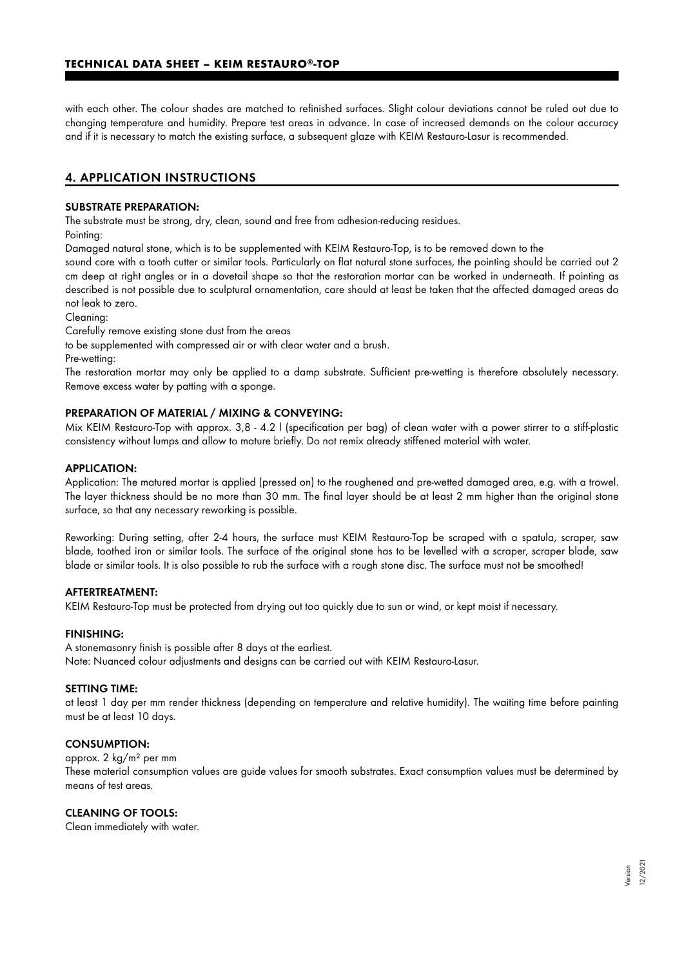with each other. The colour shades are matched to refinished surfaces. Slight colour deviations cannot be ruled out due to changing temperature and humidity. Prepare test areas in advance. In case of increased demands on the colour accuracy and if it is necessary to match the existing surface, a subsequent glaze with KEIM Restauro-Lasur is recommended.

## 4. APPLICATION INSTRUCTIONS

#### SUBSTRATE PREPARATION:

The substrate must be strong, dry, clean, sound and free from adhesion-reducing residues.

Pointing:

Damaged natural stone, which is to be supplemented with KEIM Restauro-Top, is to be removed down to the

sound core with a tooth cutter or similar tools. Particularly on flat natural stone surfaces, the pointing should be carried out 2 cm deep at right angles or in a dovetail shape so that the restoration mortar can be worked in underneath. If pointing as described is not possible due to sculptural ornamentation, care should at least be taken that the affected damaged areas do not leak to zero.

Cleaning:

Carefully remove existing stone dust from the areas

to be supplemented with compressed air or with clear water and a brush.

Pre-wetting:

The restoration mortar may only be applied to a damp substrate. Sufficient pre-wetting is therefore absolutely necessary. Remove excess water by patting with a sponge.

## PREPARATION OF MATERIAL / MIXING & CONVEYING:

Mix KEIM Restauro-Top with approx. 3,8 - 4.2 l (specification per bag) of clean water with a power stirrer to a stiff-plastic consistency without lumps and allow to mature briefly. Do not remix already stiffened material with water.

#### APPLICATION:

Application: The matured mortar is applied (pressed on) to the roughened and pre-wetted damaged area, e.g. with a trowel. The layer thickness should be no more than 30 mm. The final layer should be at least 2 mm higher than the original stone surface, so that any necessary reworking is possible.

Reworking: During setting, after 2-4 hours, the surface must KEIM Restauro-Top be scraped with a spatula, scraper, saw blade, toothed iron or similar tools. The surface of the original stone has to be levelled with a scraper, scraper blade, saw blade or similar tools. It is also possible to rub the surface with a rough stone disc. The surface must not be smoothed!

#### AFTERTREATMENT:

KEIM Restauro-Top must be protected from drying out too quickly due to sun or wind, or kept moist if necessary.

#### FINISHING:

A stonemasonry finish is possible after 8 days at the earliest. Note: Nuanced colour adjustments and designs can be carried out with KEIM Restauro-Lasur.

#### SETTING TIME:

at least 1 day per mm render thickness (depending on temperature and relative humidity). The waiting time before painting must be at least 10 days.

#### CONSUMPTION:

approx. 2 kg/m² per mm

These material consumption values are guide values for smooth substrates. Exact consumption values must be determined by means of test areas.

## CLEANING OF TOOLS:

Clean immediately with water.